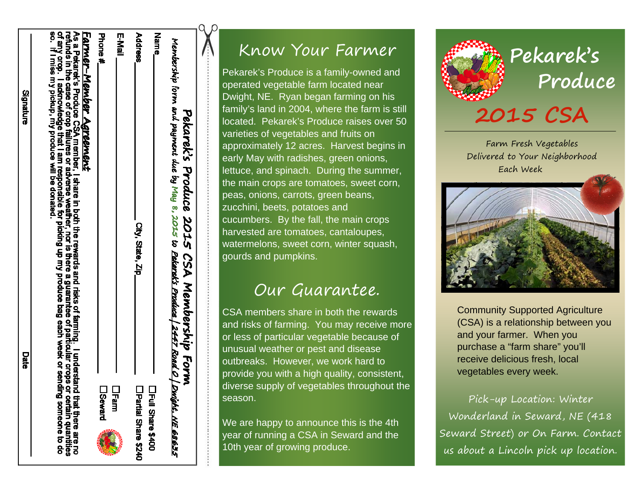| <b>E-Mail</b> | Name                     | Membership form and payment due by May 8, 2015 to Pekarek's Produce   2447 Road O   Duight. NE 68635 |
|---------------|--------------------------|------------------------------------------------------------------------------------------------------|
| <b>Fam</b>    | □Full Share \$400        |                                                                                                      |
|               | Phone #<br><b>Seward</b> | <b>Address</b><br>City, State, Zip_<br>Partial Share \$240                                           |

Signature

Date

#### Know Your Farmer

Pekarek's Produce is a family-owned and operated vegetable farm located near Dwight, NE. Ryan began farming on his family's land in 2004, where the farm is still located. Pekarek's Produce raises over 50 varieties of vegetables and fruits on approximately 12 acres. Harvest begins in early May with radishes, green onions, lettuce, and spinach. During the summer, the main crops are tomatoes, sweet corn, peas, onions, carrots, green beans, zucchini, beets, potatoes and cucumbers. By the fall, the main crops harvested are tomatoes, cantaloupes, watermelons, sweet corn, winter squash, gourds and pumpkins.

#### Our Guarantee.

CSA members share in both the rewards and risks of farming. You may receive more or less of particular vegetable because of unusual weather or pest and disease outbreaks. However, we work hard to provide you with a high quality, consistent, diverse supply of vegetables throughout the season.

We are happy to announce this is the 4th year of running a CSA in Seward and the 10th year of growing produce.



**Pekarek's Produce**

# **2015 CSA**

Farm Fresh Vegetables Delivered to Your Neighborhood Each Week



Community Supported Agriculture (CSA) is a relationship between you and your farmer. When you purchase a "farm share" you'll receive delicious fresh, local vegetables every week.

Pick-up Location: Winter Wonderland in Seward, NE (418 Seward Street) or On Farm. Contact us about a Lincoln pick up location.